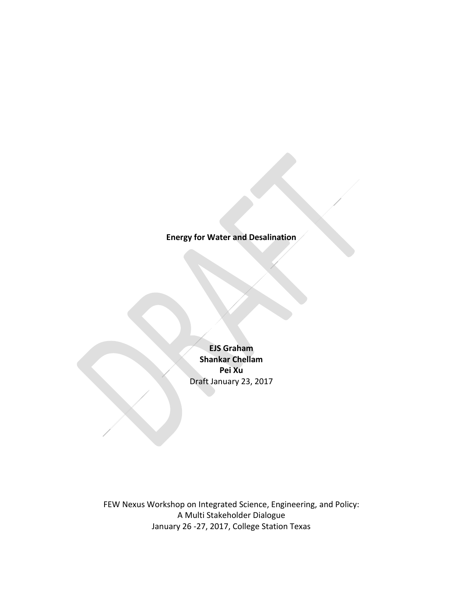## **Energy for Water and Desalination**

**EJS Graham Shankar Chellam Pei Xu** Draft January 23, 2017

FEW Nexus Workshop on Integrated Science, Engineering, and Policy: A Multi Stakeholder Dialogue January 26 -27, 2017, College Station Texas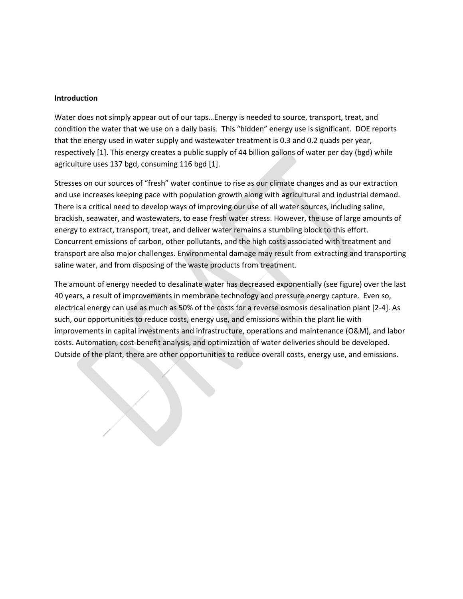#### **Introduction**

Water does not simply appear out of our taps…Energy is needed to source, transport, treat, and condition the water that we use on a daily basis. This "hidden" energy use is significant. DOE reports that the energy used in water supply and wastewater treatment is 0.3 and 0.2 quads per year, respectively [1]. This energy creates a public supply of 44 billion gallons of water per day (bgd) while agriculture uses 137 bgd, consuming 116 bgd [1].

Stresses on our sources of "fresh" water continue to rise as our climate changes and as our extraction and use increases keeping pace with population growth along with agricultural and industrial demand. There is a critical need to develop ways of improving our use of all water sources, including saline, brackish, seawater, and wastewaters, to ease fresh water stress. However, the use of large amounts of energy to extract, transport, treat, and deliver water remains a stumbling block to this effort. Concurrent emissions of carbon, other pollutants, and the high costs associated with treatment and transport are also major challenges. Environmental damage may result from extracting and transporting saline water, and from disposing of the waste products from treatment.

The amount of energy needed to desalinate water has decreased exponentially (see figure) over the last 40 years, a result of improvements in membrane technology and pressure energy capture. Even so, electrical energy can use as much as 50% of the costs for a reverse osmosis desalination plant [2-4]. As such, our opportunities to reduce costs, energy use, and emissions within the plant lie with improvements in capital investments and infrastructure, operations and maintenance (O&M), and labor costs. Automation, cost-benefit analysis, and optimization of water deliveries should be developed. Outside of the plant, there are other opportunities to reduce overall costs, energy use, and emissions.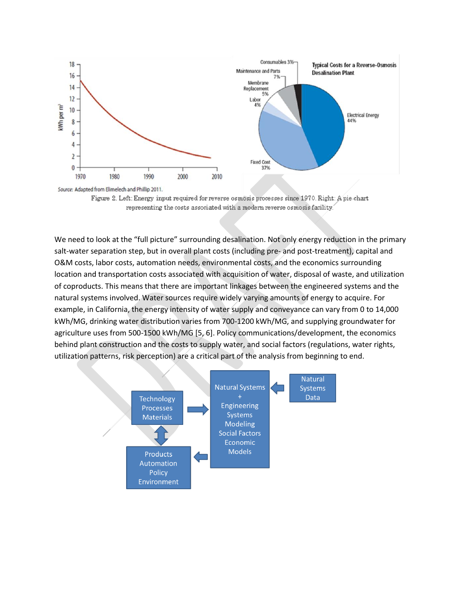

Source: Adapted from Elimelech and Phillip 2011.

Figure 2. Left: Energy input required for reverse osmosis processes since 1970. Right: A pie-chart representing the costs associated with a modern reverse osmosis facility.

We need to look at the "full picture" surrounding desalination. Not only energy reduction in the primary salt-water separation step, but in overall plant costs (including pre- and post-treatment), capital and O&M costs, labor costs, automation needs, environmental costs, and the economics surrounding location and transportation costs associated with acquisition of water, disposal of waste, and utilization of coproducts. This means that there are important linkages between the engineered systems and the natural systems involved. Water sources require widely varying amounts of energy to acquire. For example, in California, the energy intensity of water supply and conveyance can vary from 0 to 14,000 kWh/MG, drinking water distribution varies from 700-1200 kWh/MG, and supplying groundwater for agriculture uses from 500-1500 kWh/MG [5, 6]. Policy communications/development, the economics behind plant construction and the costs to supply water, and social factors (regulations, water rights, utilization patterns, risk perception) are a critical part of the analysis from beginning to end.

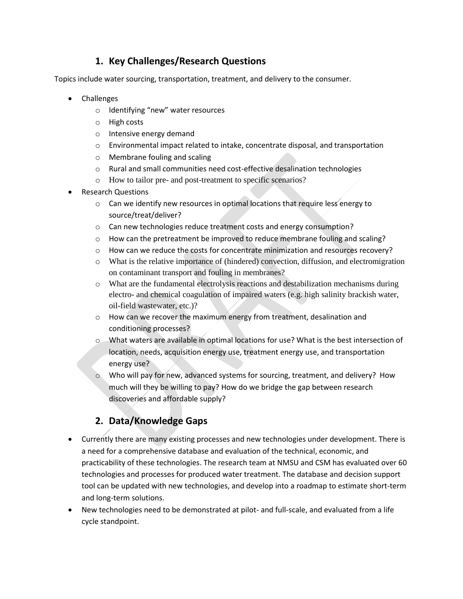## **1. Key Challenges/Research Questions**

Topics include water sourcing, transportation, treatment, and delivery to the consumer.

- Challenges
	- o Identifying "new" water resources
	- o High costs
	- o Intensive energy demand
	- o Environmental impact related to intake, concentrate disposal, and transportation
	- o Membrane fouling and scaling
	- $\circ$  Rural and small communities need cost-effective desalination technologies
	- o How to tailor pre- and post-treatment to specific scenarios?
- Research Questions
	- o Can we identify new resources in optimal locations that require less energy to source/treat/deliver?
	- o Can new technologies reduce treatment costs and energy consumption?
	- $\circ$  How can the pretreatment be improved to reduce membrane fouling and scaling?
	- $\circ$  How can we reduce the costs for concentrate minimization and resources recovery?
	- o What is the relative importance of (hindered) convection, diffusion, and electromigration on contaminant transport and fouling in membranes?
	- o What are the fundamental electrolysis reactions and destabilization mechanisms during electro- and chemical coagulation of impaired waters (e.g. high salinity brackish water, oil-field wastewater, etc.)?
	- $\circ$  How can we recover the maximum energy from treatment, desalination and conditioning processes?
	- o What waters are available in optimal locations for use? What is the best intersection of location, needs, acquisition energy use, treatment energy use, and transportation energy use?
	- o Who will pay for new, advanced systems for sourcing, treatment, and delivery? How much will they be willing to pay? How do we bridge the gap between research discoveries and affordable supply?

# **2. Data/Knowledge Gaps**

- Currently there are many existing processes and new technologies under development. There is a need for a comprehensive database and evaluation of the technical, economic, and practicability of these technologies. The research team at NMSU and CSM has evaluated over 60 technologies and processes for produced water treatment. The database and decision support tool can be updated with new technologies, and develop into a roadmap to estimate short-term and long-term solutions.
- New technologies need to be demonstrated at pilot- and full-scale, and evaluated from a life cycle standpoint.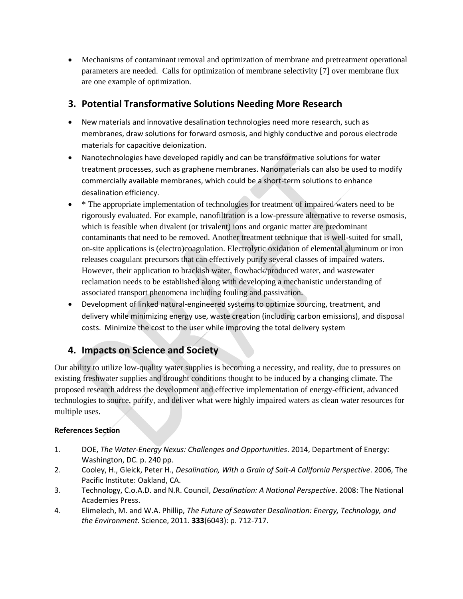Mechanisms of contaminant removal and optimization of membrane and pretreatment operational parameters are needed. Calls for optimization of membrane selectivity [7] over membrane flux are one example of optimization.

## **3. Potential Transformative Solutions Needing More Research**

- New materials and innovative desalination technologies need more research, such as membranes, draw solutions for forward osmosis, and highly conductive and porous electrode materials for capacitive deionization.
- Nanotechnologies have developed rapidly and can be transformative solutions for water treatment processes, such as graphene membranes. Nanomaterials can also be used to modify commercially available membranes, which could be a short-term solutions to enhance desalination efficiency.
- \* The appropriate implementation of technologies for treatment of impaired waters need to be rigorously evaluated. For example, nanofiltration is a low-pressure alternative to reverse osmosis, which is feasible when divalent (or trivalent) ions and organic matter are predominant contaminants that need to be removed. Another treatment technique that is well-suited for small, on-site applications is (electro)coagulation. Electrolytic oxidation of elemental aluminum or iron releases coagulant precursors that can effectively purify several classes of impaired waters. However, their application to brackish water, flowback/produced water, and wastewater reclamation needs to be established along with developing a mechanistic understanding of associated transport phenomena including fouling and passivation.
- Development of linked natural-engineered systems to optimize sourcing, treatment, and delivery while minimizing energy use, waste creation (including carbon emissions), and disposal costs. Minimize the cost to the user while improving the total delivery system

## **4. Impacts on Science and Society**

Our ability to utilize low-quality water supplies is becoming a necessity, and reality, due to pressures on existing freshwater supplies and drought conditions thought to be induced by a changing climate. The proposed research address the development and effective implementation of energy-efficient, advanced technologies to source, purify, and deliver what were highly impaired waters as clean water resources for multiple uses.

### **References Section**

- 1. DOE, *The Water-Energy Nexus: Challenges and Opportunities*. 2014, Department of Energy: Washington, DC. p. 240 pp.
- 2. Cooley, H., Gleick, Peter H., *Desalination, With a Grain of Salt-A California Perspective*. 2006, The Pacific Institute: Oakland, CA.
- 3. Technology, C.o.A.D. and N.R. Council, *Desalination: A National Perspective*. 2008: The National Academies Press.
- 4. Elimelech, M. and W.A. Phillip, *The Future of Seawater Desalination: Energy, Technology, and the Environment.* Science, 2011. **333**(6043): p. 712-717.